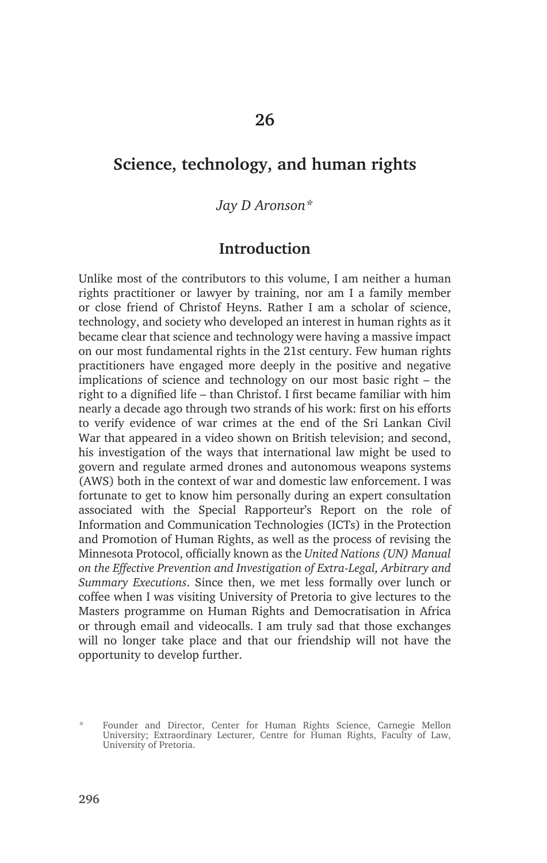# **Science, technology, and human rights**

*Jay D Aronson\**

### **Introduction**

Unlike most of the contributors to this volume, I am neither a human rights practitioner or lawyer by training, nor am I a family member or close friend of Christof Heyns. Rather I am a scholar of science, technology, and society who developed an interest in human rights as it became clear that science and technology were having a massive impact on our most fundamental rights in the 21st century. Few human rights practitioners have engaged more deeply in the positive and negative implications of science and technology on our most basic right – the right to a dignified life – than Christof. I first became familiar with him nearly a decade ago through two strands of his work: first on his efforts to verify evidence of war crimes at the end of the Sri Lankan Civil War that appeared in a video shown on British television; and second, his investigation of the ways that international law might be used to govern and regulate armed drones and autonomous weapons systems (AWS) both in the context of war and domestic law enforcement. I was fortunate to get to know him personally during an expert consultation associated with the Special Rapporteur's Report on the role of Information and Communication Technologies (ICTs) in the Protection and Promotion of Human Rights, as well as the process of revising the Minnesota Protocol, officially known as the *United Nations (UN) Manual on the Effective Prevention and Investigation of Extra-Legal, Arbitrary and Summary Executions*. Since then, we met less formally over lunch or coffee when I was visiting University of Pretoria to give lectures to the Masters programme on Human Rights and Democratisation in Africa or through email and videocalls. I am truly sad that those exchanges will no longer take place and that our friendship will not have the opportunity to develop further.

<sup>\*</sup> Founder and Director, Center for Human Rights Science, Carnegie Mellon University; Extraordinary Lecturer, Centre for Human Rights, Faculty of Law, University of Pretoria.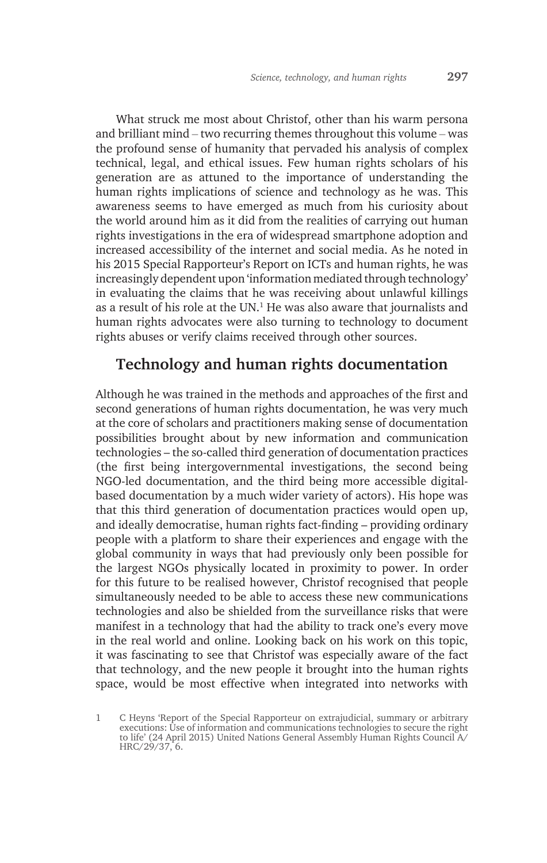What struck me most about Christof, other than his warm persona and brilliant mind – two recurring themes throughout this volume – was the profound sense of humanity that pervaded his analysis of complex technical, legal, and ethical issues. Few human rights scholars of his generation are as attuned to the importance of understanding the human rights implications of science and technology as he was. This awareness seems to have emerged as much from his curiosity about the world around him as it did from the realities of carrying out human rights investigations in the era of widespread smartphone adoption and increased accessibility of the internet and social media. As he noted in his 2015 Special Rapporteur's Report on ICTs and human rights, he was increasingly dependent upon 'information mediated through technology' in evaluating the claims that he was receiving about unlawful killings as a result of his role at the UN. $<sup>1</sup>$  He was also aware that journalists and</sup> human rights advocates were also turning to technology to document rights abuses or verify claims received through other sources.

# **Technology and human rights documentation**

Although he was trained in the methods and approaches of the first and second generations of human rights documentation, he was very much at the core of scholars and practitioners making sense of documentation possibilities brought about by new information and communication technologies – the so-called third generation of documentation practices (the first being intergovernmental investigations, the second being NGO-led documentation, and the third being more accessible digitalbased documentation by a much wider variety of actors). His hope was that this third generation of documentation practices would open up, and ideally democratise, human rights fact-finding – providing ordinary people with a platform to share their experiences and engage with the global community in ways that had previously only been possible for the largest NGOs physically located in proximity to power. In order for this future to be realised however, Christof recognised that people simultaneously needed to be able to access these new communications technologies and also be shielded from the surveillance risks that were manifest in a technology that had the ability to track one's every move in the real world and online. Looking back on his work on this topic, it was fascinating to see that Christof was especially aware of the fact that technology, and the new people it brought into the human rights space, would be most effective when integrated into networks with

1 C Heyns 'Report of the Special Rapporteur on extrajudicial, summary or arbitrary executions: Use of information and communications technologies to secure the right to life' (24 April 2015) United Nations General Assembly Human Rights Council A/ HRC/29/37, 6.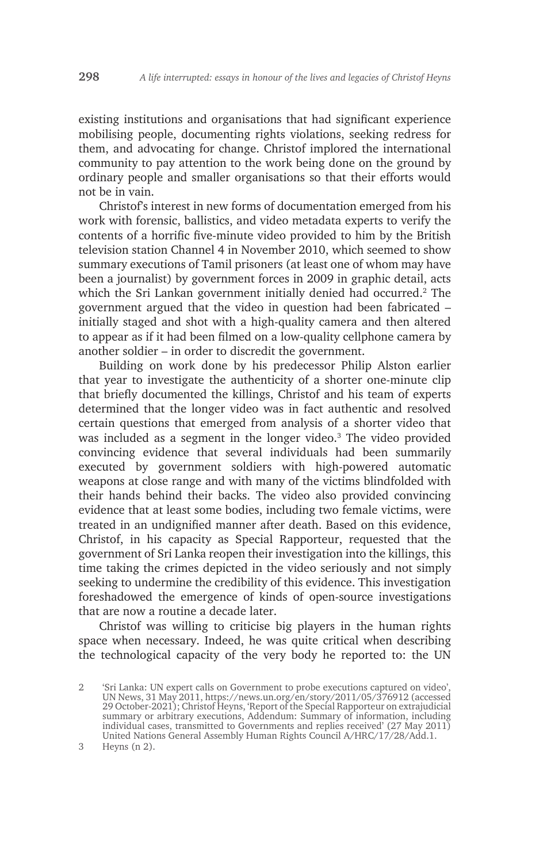existing institutions and organisations that had significant experience mobilising people, documenting rights violations, seeking redress for them, and advocating for change. Christof implored the international community to pay attention to the work being done on the ground by ordinary people and smaller organisations so that their efforts would not be in vain.

Christof's interest in new forms of documentation emerged from his work with forensic, ballistics, and video metadata experts to verify the contents of a horrific five-minute video provided to him by the British television station Channel 4 in November 2010, which seemed to show summary executions of Tamil prisoners (at least one of whom may have been a journalist) by government forces in 2009 in graphic detail, acts which the Sri Lankan government initially denied had occurred.<sup>2</sup> The government argued that the video in question had been fabricated – initially staged and shot with a high-quality camera and then altered to appear as if it had been filmed on a low-quality cellphone camera by another soldier – in order to discredit the government.

Building on work done by his predecessor Philip Alston earlier that year to investigate the authenticity of a shorter one-minute clip that briefly documented the killings, Christof and his team of experts determined that the longer video was in fact authentic and resolved certain questions that emerged from analysis of a shorter video that was included as a segment in the longer video.<sup>3</sup> The video provided convincing evidence that several individuals had been summarily executed by government soldiers with high-powered automatic weapons at close range and with many of the victims blindfolded with their hands behind their backs. The video also provided convincing evidence that at least some bodies, including two female victims, were treated in an undignified manner after death. Based on this evidence, Christof, in his capacity as Special Rapporteur, requested that the government of Sri Lanka reopen their investigation into the killings, this time taking the crimes depicted in the video seriously and not simply seeking to undermine the credibility of this evidence. This investigation foreshadowed the emergence of kinds of open-source investigations that are now a routine a decade later.

Christof was willing to criticise big players in the human rights space when necessary. Indeed, he was quite critical when describing the technological capacity of the very body he reported to: the UN

<sup>2</sup> 'Sri Lanka: UN expert calls on Government to probe executions captured on video', UN News, 31 May 2011, https://news.un.org/en/story/2011/05/376912 (accessed 29 October-2021); Christof Heyns, 'Report of the Special Rapporteur on extrajudicial summary or arbitrary executions, Addendum: Summary of information, including individual cases, transmitted to Governments and replies received' (27 May 2011) United Nations General Assembly Human Rights Council A/HRC/17/28/Add.1.

<sup>3</sup> Heyns (n 2).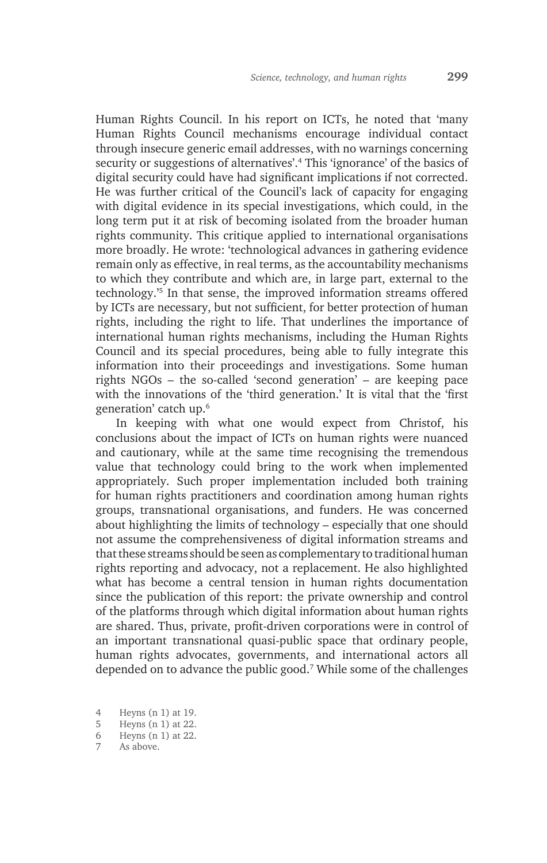Human Rights Council. In his report on ICTs, he noted that 'many Human Rights Council mechanisms encourage individual contact through insecure generic email addresses, with no warnings concerning security or suggestions of alternatives'.4 This 'ignorance' of the basics of digital security could have had significant implications if not corrected. He was further critical of the Council's lack of capacity for engaging with digital evidence in its special investigations, which could, in the long term put it at risk of becoming isolated from the broader human rights community. This critique applied to international organisations more broadly. He wrote: 'technological advances in gathering evidence remain only as effective, in real terms, as the accountability mechanisms to which they contribute and which are, in large part, external to the technology.'5 In that sense, the improved information streams offered by ICTs are necessary, but not sufficient, for better protection of human rights, including the right to life. That underlines the importance of international human rights mechanisms, including the Human Rights Council and its special procedures, being able to fully integrate this information into their proceedings and investigations. Some human rights NGOs – the so-called 'second generation' – are keeping pace with the innovations of the 'third generation.' It is vital that the 'first generation' catch up.6

In keeping with what one would expect from Christof, his conclusions about the impact of ICTs on human rights were nuanced and cautionary, while at the same time recognising the tremendous value that technology could bring to the work when implemented appropriately. Such proper implementation included both training for human rights practitioners and coordination among human rights groups, transnational organisations, and funders. He was concerned about highlighting the limits of technology – especially that one should not assume the comprehensiveness of digital information streams and that these streams should be seen as complementary to traditional human rights reporting and advocacy, not a replacement. He also highlighted what has become a central tension in human rights documentation since the publication of this report: the private ownership and control of the platforms through which digital information about human rights are shared. Thus, private, profit-driven corporations were in control of an important transnational quasi-public space that ordinary people, human rights advocates, governments, and international actors all depended on to advance the public good.7 While some of the challenges

<sup>4</sup> Heyns (n 1) at 19.

<sup>5</sup> Heyns (n 1) at 22.

<sup>6</sup> Heyns (n 1) at 22.

<sup>7</sup> As above.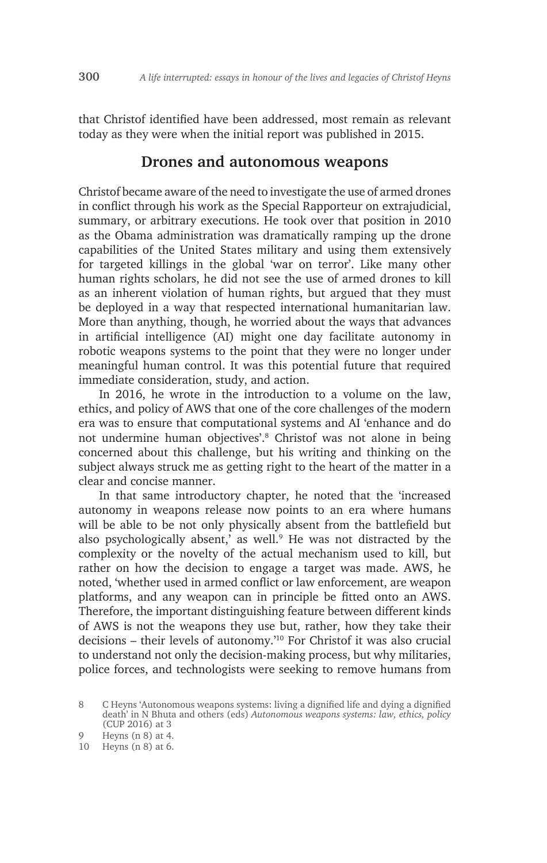that Christof identified have been addressed, most remain as relevant today as they were when the initial report was published in 2015.

#### **Drones and autonomous weapons**

Christof became aware of the need to investigate the use of armed drones in conflict through his work as the Special Rapporteur on extrajudicial, summary, or arbitrary executions. He took over that position in 2010 as the Obama administration was dramatically ramping up the drone capabilities of the United States military and using them extensively for targeted killings in the global 'war on terror'. Like many other human rights scholars, he did not see the use of armed drones to kill as an inherent violation of human rights, but argued that they must be deployed in a way that respected international humanitarian law. More than anything, though, he worried about the ways that advances in artificial intelligence (AI) might one day facilitate autonomy in robotic weapons systems to the point that they were no longer under meaningful human control. It was this potential future that required immediate consideration, study, and action.

In 2016, he wrote in the introduction to a volume on the law, ethics, and policy of AWS that one of the core challenges of the modern era was to ensure that computational systems and AI 'enhance and do not undermine human objectives'.8 Christof was not alone in being concerned about this challenge, but his writing and thinking on the subject always struck me as getting right to the heart of the matter in a clear and concise manner.

In that same introductory chapter, he noted that the 'increased autonomy in weapons release now points to an era where humans will be able to be not only physically absent from the battlefield but also psychologically absent,' as well.<sup>9</sup> He was not distracted by the complexity or the novelty of the actual mechanism used to kill, but rather on how the decision to engage a target was made. AWS, he noted, 'whether used in armed conflict or law enforcement, are weapon platforms, and any weapon can in principle be fitted onto an AWS. Therefore, the important distinguishing feature between different kinds of AWS is not the weapons they use but, rather, how they take their decisions – their levels of autonomy.'10 For Christof it was also crucial to understand not only the decision-making process, but why militaries, police forces, and technologists were seeking to remove humans from

<sup>8</sup> C Heyns 'Autonomous weapons systems: living a dignified life and dying a dignified death' in N Bhuta and others (eds) *Autonomous weapons systems: law, ethics, policy*  (CUP 2016) at 3

<sup>9</sup> Heyns (n 8) at 4.

<sup>10</sup> Heyns (n 8) at 6.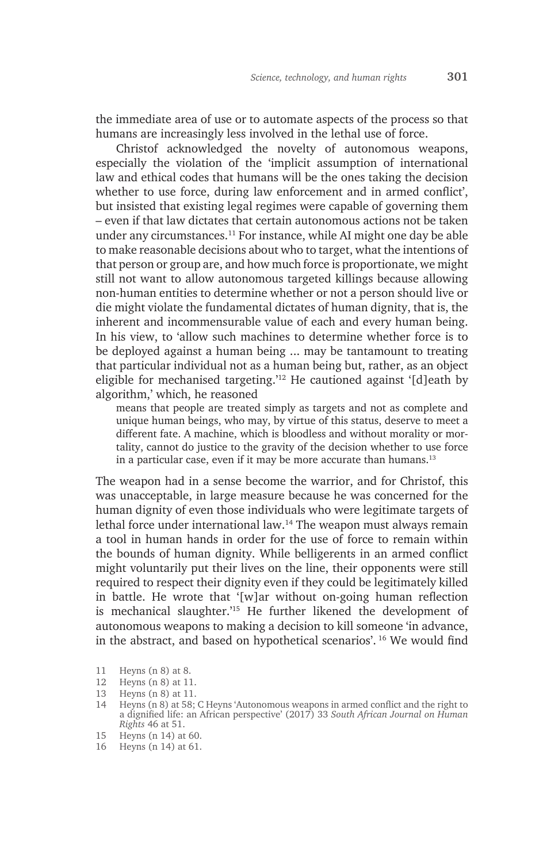the immediate area of use or to automate aspects of the process so that humans are increasingly less involved in the lethal use of force.

Christof acknowledged the novelty of autonomous weapons, especially the violation of the 'implicit assumption of international law and ethical codes that humans will be the ones taking the decision whether to use force, during law enforcement and in armed conflict', but insisted that existing legal regimes were capable of governing them – even if that law dictates that certain autonomous actions not be taken under any circumstances.11 For instance, while AI might one day be able to make reasonable decisions about who to target, what the intentions of that person or group are, and how much force is proportionate, we might still not want to allow autonomous targeted killings because allowing non-human entities to determine whether or not a person should live or die might violate the fundamental dictates of human dignity, that is, the inherent and incommensurable value of each and every human being. In his view, to 'allow such machines to determine whether force is to be deployed against a human being ... may be tantamount to treating that particular individual not as a human being but, rather, as an object eligible for mechanised targeting.'12 He cautioned against '[d]eath by algorithm,' which, he reasoned

means that people are treated simply as targets and not as complete and unique human beings, who may, by virtue of this status, deserve to meet a different fate. A machine, which is bloodless and without morality or mortality, cannot do justice to the gravity of the decision whether to use force in a particular case, even if it may be more accurate than humans. $13$ 

The weapon had in a sense become the warrior, and for Christof, this was unacceptable, in large measure because he was concerned for the human dignity of even those individuals who were legitimate targets of lethal force under international law.<sup>14</sup> The weapon must always remain a tool in human hands in order for the use of force to remain within the bounds of human dignity. While belligerents in an armed conflict might voluntarily put their lives on the line, their opponents were still required to respect their dignity even if they could be legitimately killed in battle. He wrote that '[w]ar without on-going human reflection is mechanical slaughter.'15 He further likened the development of autonomous weapons to making a decision to kill someone 'in advance, in the abstract, and based on hypothetical scenarios'. 16 We would find

- 15 Heyns (n 14) at 60.
- 16 Heyns (n 14) at 61.

<sup>11</sup> Heyns (n 8) at 8.

<sup>12</sup> Heyns (n 8) at 11.

<sup>13</sup> Heyns (n 8) at 11.

<sup>14</sup> Heyns (n 8) at 58; C Heyns 'Autonomous weapons in armed conflict and the right to a dignified life: an African perspective' (2017) 33 *South African Journal on Human Rights* 46 at 51.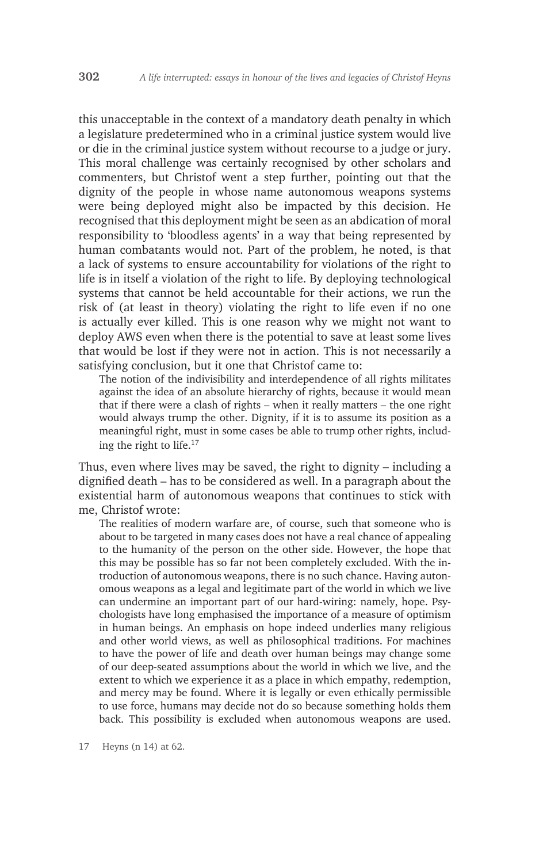this unacceptable in the context of a mandatory death penalty in which a legislature predetermined who in a criminal justice system would live or die in the criminal justice system without recourse to a judge or jury. This moral challenge was certainly recognised by other scholars and commenters, but Christof went a step further, pointing out that the dignity of the people in whose name autonomous weapons systems were being deployed might also be impacted by this decision. He recognised that this deployment might be seen as an abdication of moral responsibility to 'bloodless agents' in a way that being represented by human combatants would not. Part of the problem, he noted, is that a lack of systems to ensure accountability for violations of the right to life is in itself a violation of the right to life. By deploying technological systems that cannot be held accountable for their actions, we run the risk of (at least in theory) violating the right to life even if no one is actually ever killed. This is one reason why we might not want to deploy AWS even when there is the potential to save at least some lives that would be lost if they were not in action. This is not necessarily a satisfying conclusion, but it one that Christof came to:

The notion of the indivisibility and interdependence of all rights militates against the idea of an absolute hierarchy of rights, because it would mean that if there were a clash of rights – when it really matters – the one right would always trump the other. Dignity, if it is to assume its position as a meaningful right, must in some cases be able to trump other rights, including the right to life.17

Thus, even where lives may be saved, the right to dignity – including a dignified death – has to be considered as well. In a paragraph about the existential harm of autonomous weapons that continues to stick with me, Christof wrote:

The realities of modern warfare are, of course, such that someone who is about to be targeted in many cases does not have a real chance of appealing to the humanity of the person on the other side. However, the hope that this may be possible has so far not been completely excluded. With the introduction of autonomous weapons, there is no such chance. Having autonomous weapons as a legal and legitimate part of the world in which we live can undermine an important part of our hard-wiring: namely, hope. Psychologists have long emphasised the importance of a measure of optimism in human beings. An emphasis on hope indeed underlies many religious and other world views, as well as philosophical traditions. For machines to have the power of life and death over human beings may change some of our deep-seated assumptions about the world in which we live, and the extent to which we experience it as a place in which empathy, redemption, and mercy may be found. Where it is legally or even ethically permissible to use force, humans may decide not do so because something holds them back. This possibility is excluded when autonomous weapons are used.

17 Heyns (n 14) at 62.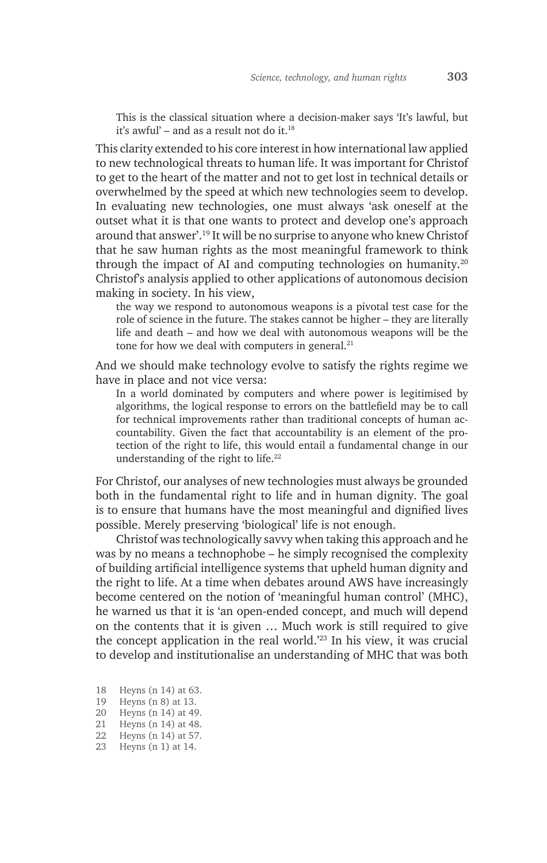This is the classical situation where a decision-maker says 'It's lawful, but it's awful' – and as a result not do it.<sup>18</sup>

This clarity extended to his core interest in how international law applied to new technological threats to human life. It was important for Christof to get to the heart of the matter and not to get lost in technical details or overwhelmed by the speed at which new technologies seem to develop. In evaluating new technologies, one must always 'ask oneself at the outset what it is that one wants to protect and develop one's approach around that answer'.19 It will be no surprise to anyone who knew Christof that he saw human rights as the most meaningful framework to think through the impact of AI and computing technologies on humanity.20 Christof's analysis applied to other applications of autonomous decision making in society. In his view,

the way we respond to autonomous weapons is a pivotal test case for the role of science in the future. The stakes cannot be higher – they are literally life and death – and how we deal with autonomous weapons will be the tone for how we deal with computers in general.<sup>21</sup>

And we should make technology evolve to satisfy the rights regime we have in place and not vice versa:

In a world dominated by computers and where power is legitimised by algorithms, the logical response to errors on the battlefield may be to call for technical improvements rather than traditional concepts of human accountability. Given the fact that accountability is an element of the protection of the right to life, this would entail a fundamental change in our understanding of the right to life.<sup>22</sup>

For Christof, our analyses of new technologies must always be grounded both in the fundamental right to life and in human dignity. The goal is to ensure that humans have the most meaningful and dignified lives possible. Merely preserving 'biological' life is not enough.

Christof was technologically savvy when taking this approach and he was by no means a technophobe – he simply recognised the complexity of building artificial intelligence systems that upheld human dignity and the right to life. At a time when debates around AWS have increasingly become centered on the notion of 'meaningful human control' (MHC), he warned us that it is 'an open-ended concept, and much will depend on the contents that it is given … Much work is still required to give the concept application in the real world.'23 In his view, it was crucial to develop and institutionalise an understanding of MHC that was both

- 18 Heyns (n 14) at 63.
- 19 Heyns (n 8) at 13.
- 20 Heyns (n 14) at 49.
- 21 Heyns (n 14) at 48.
- 22 Heyns (n 14) at 57.
- 23 Heyns (n 1) at 14.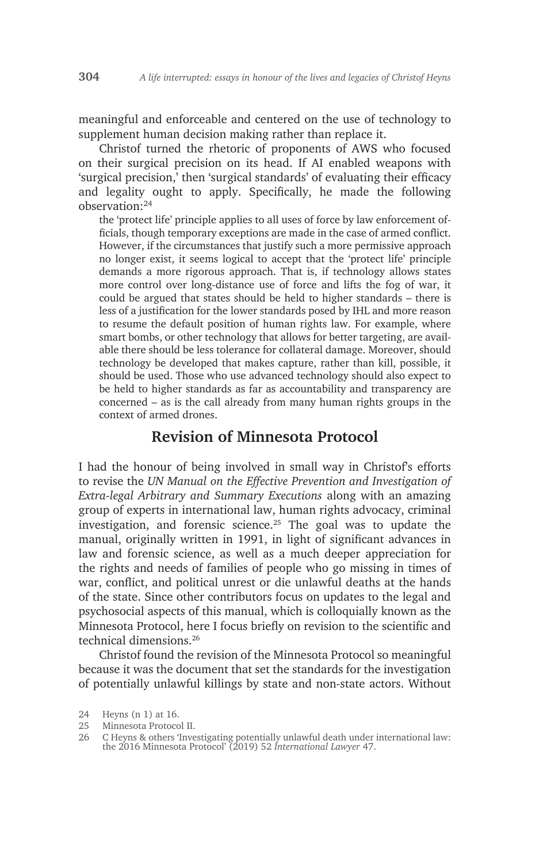meaningful and enforceable and centered on the use of technology to supplement human decision making rather than replace it.

Christof turned the rhetoric of proponents of AWS who focused on their surgical precision on its head. If AI enabled weapons with 'surgical precision,' then 'surgical standards' of evaluating their efficacy and legality ought to apply. Specifically, he made the following observation:24

the 'protect life' principle applies to all uses of force by law enforcement officials, though temporary exceptions are made in the case of armed conflict. However, if the circumstances that justify such a more permissive approach no longer exist, it seems logical to accept that the 'protect life' principle demands a more rigorous approach. That is, if technology allows states more control over long-distance use of force and lifts the fog of war, it could be argued that states should be held to higher standards – there is less of a justification for the lower standards posed by IHL and more reason to resume the default position of human rights law. For example, where smart bombs, or other technology that allows for better targeting, are available there should be less tolerance for collateral damage. Moreover, should technology be developed that makes capture, rather than kill, possible, it should be used. Those who use advanced technology should also expect to be held to higher standards as far as accountability and transparency are concerned – as is the call already from many human rights groups in the context of armed drones.

#### **Revision of Minnesota Protocol**

I had the honour of being involved in small way in Christof's efforts to revise the *UN Manual on the Effective Prevention and Investigation of Extra-legal Arbitrary and Summary Executions* along with an amazing group of experts in international law, human rights advocacy, criminal investigation, and forensic science.<sup>25</sup> The goal was to update the manual, originally written in 1991, in light of significant advances in law and forensic science, as well as a much deeper appreciation for the rights and needs of families of people who go missing in times of war, conflict, and political unrest or die unlawful deaths at the hands of the state. Since other contributors focus on updates to the legal and psychosocial aspects of this manual, which is colloquially known as the Minnesota Protocol, here I focus briefly on revision to the scientific and technical dimensions.26

Christof found the revision of the Minnesota Protocol so meaningful because it was the document that set the standards for the investigation of potentially unlawful killings by state and non-state actors. Without

<sup>24</sup> Heyns (n 1) at 16.

<sup>25</sup> Minnesota Protocol II.

<sup>26</sup> C Heyns & others 'Investigating potentially unlawful death under international law: the 2016 Minnesota Protocol' (2019) 52 *International Lawyer* 47.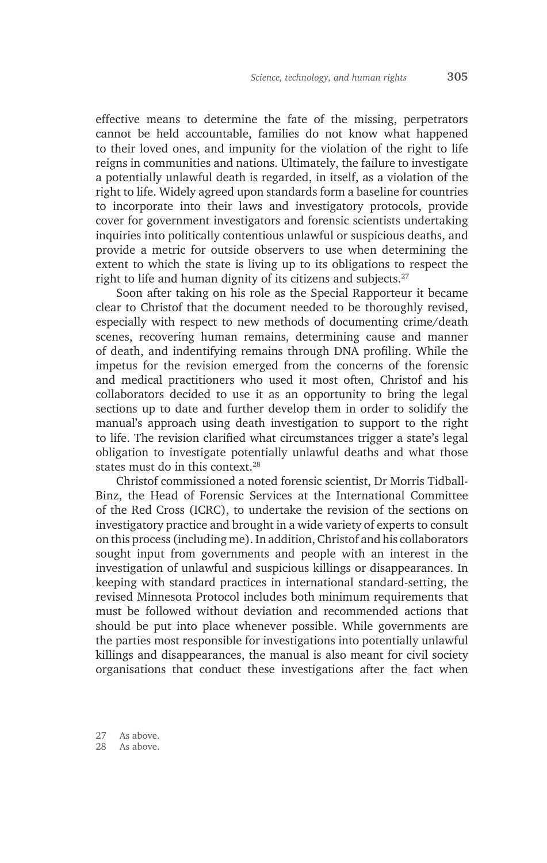effective means to determine the fate of the missing, perpetrators cannot be held accountable, families do not know what happened to their loved ones, and impunity for the violation of the right to life reigns in communities and nations. Ultimately, the failure to investigate a potentially unlawful death is regarded, in itself, as a violation of the right to life. Widely agreed upon standards form a baseline for countries to incorporate into their laws and investigatory protocols, provide cover for government investigators and forensic scientists undertaking inquiries into politically contentious unlawful or suspicious deaths, and provide a metric for outside observers to use when determining the extent to which the state is living up to its obligations to respect the right to life and human dignity of its citizens and subjects.<sup>27</sup>

Soon after taking on his role as the Special Rapporteur it became clear to Christof that the document needed to be thoroughly revised, especially with respect to new methods of documenting crime/death scenes, recovering human remains, determining cause and manner of death, and indentifying remains through DNA profiling. While the impetus for the revision emerged from the concerns of the forensic and medical practitioners who used it most often, Christof and his collaborators decided to use it as an opportunity to bring the legal sections up to date and further develop them in order to solidify the manual's approach using death investigation to support to the right to life. The revision clarified what circumstances trigger a state's legal obligation to investigate potentially unlawful deaths and what those states must do in this context.<sup>28</sup>

Christof commissioned a noted forensic scientist, Dr Morris Tidball-Binz, the Head of Forensic Services at the International Committee of the Red Cross (ICRC), to undertake the revision of the sections on investigatory practice and brought in a wide variety of experts to consult on this process (including me). In addition, Christof and his collaborators sought input from governments and people with an interest in the investigation of unlawful and suspicious killings or disappearances. In keeping with standard practices in international standard-setting, the revised Minnesota Protocol includes both minimum requirements that must be followed without deviation and recommended actions that should be put into place whenever possible. While governments are the parties most responsible for investigations into potentially unlawful killings and disappearances, the manual is also meant for civil society organisations that conduct these investigations after the fact when

27 As above. 28 As above.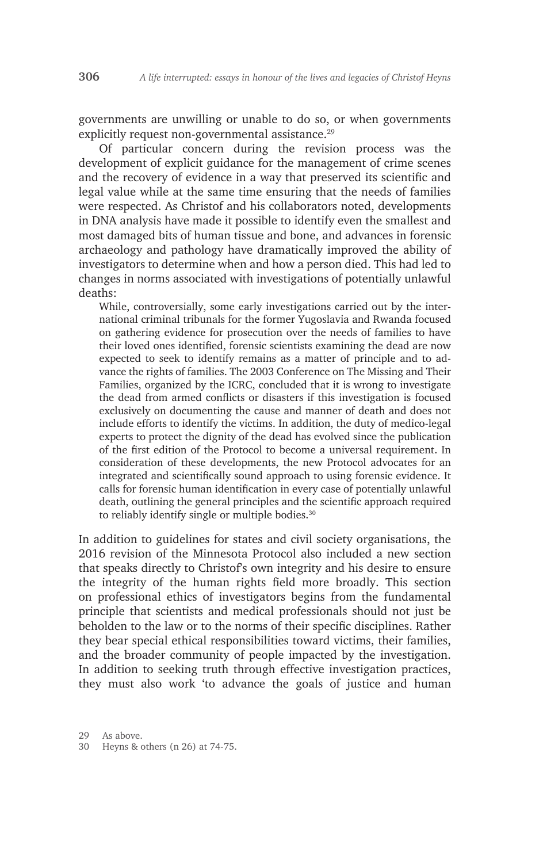governments are unwilling or unable to do so, or when governments explicitly request non-governmental assistance.<sup>29</sup>

Of particular concern during the revision process was the development of explicit guidance for the management of crime scenes and the recovery of evidence in a way that preserved its scientific and legal value while at the same time ensuring that the needs of families were respected. As Christof and his collaborators noted, developments in DNA analysis have made it possible to identify even the smallest and most damaged bits of human tissue and bone, and advances in forensic archaeology and pathology have dramatically improved the ability of investigators to determine when and how a person died. This had led to changes in norms associated with investigations of potentially unlawful deaths:

While, controversially, some early investigations carried out by the international criminal tribunals for the former Yugoslavia and Rwanda focused on gathering evidence for prosecution over the needs of families to have their loved ones identified, forensic scientists examining the dead are now expected to seek to identify remains as a matter of principle and to advance the rights of families. The 2003 Conference on The Missing and Their Families, organized by the ICRC, concluded that it is wrong to investigate the dead from armed conflicts or disasters if this investigation is focused exclusively on documenting the cause and manner of death and does not include efforts to identify the victims. In addition, the duty of medico-legal experts to protect the dignity of the dead has evolved since the publication of the first edition of the Protocol to become a universal requirement. In consideration of these developments, the new Protocol advocates for an integrated and scientifically sound approach to using forensic evidence. It calls for forensic human identification in every case of potentially unlawful death, outlining the general principles and the scientific approach required to reliably identify single or multiple bodies.<sup>30</sup>

In addition to guidelines for states and civil society organisations, the 2016 revision of the Minnesota Protocol also included a new section that speaks directly to Christof's own integrity and his desire to ensure the integrity of the human rights field more broadly. This section on professional ethics of investigators begins from the fundamental principle that scientists and medical professionals should not just be beholden to the law or to the norms of their specific disciplines. Rather they bear special ethical responsibilities toward victims, their families, and the broader community of people impacted by the investigation. In addition to seeking truth through effective investigation practices, they must also work 'to advance the goals of justice and human

29 As above.

30 Heyns & others (n 26) at 74-75.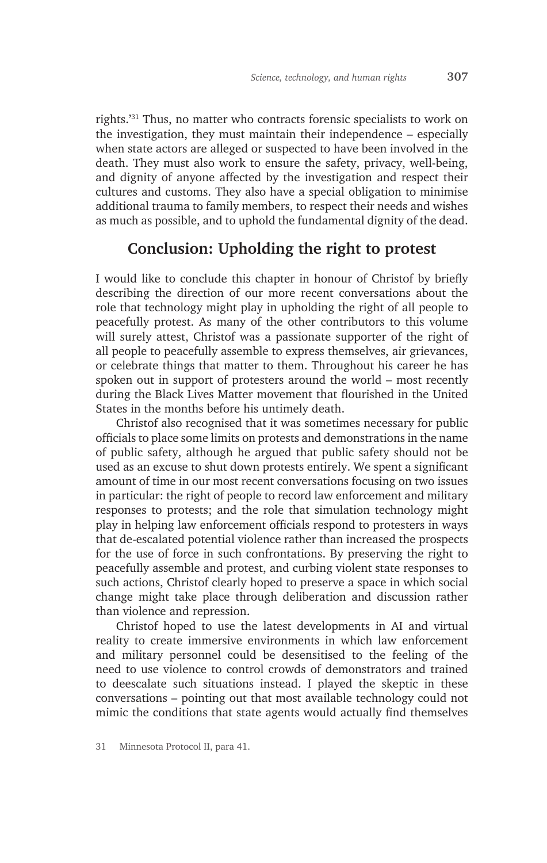rights.'31 Thus, no matter who contracts forensic specialists to work on the investigation, they must maintain their independence – especially when state actors are alleged or suspected to have been involved in the death. They must also work to ensure the safety, privacy, well-being, and dignity of anyone affected by the investigation and respect their cultures and customs. They also have a special obligation to minimise additional trauma to family members, to respect their needs and wishes as much as possible, and to uphold the fundamental dignity of the dead.

## **Conclusion: Upholding the right to protest**

I would like to conclude this chapter in honour of Christof by briefly describing the direction of our more recent conversations about the role that technology might play in upholding the right of all people to peacefully protest. As many of the other contributors to this volume will surely attest, Christof was a passionate supporter of the right of all people to peacefully assemble to express themselves, air grievances, or celebrate things that matter to them. Throughout his career he has spoken out in support of protesters around the world – most recently during the Black Lives Matter movement that flourished in the United States in the months before his untimely death.

Christof also recognised that it was sometimes necessary for public officials to place some limits on protests and demonstrations in the name of public safety, although he argued that public safety should not be used as an excuse to shut down protests entirely. We spent a significant amount of time in our most recent conversations focusing on two issues in particular: the right of people to record law enforcement and military responses to protests; and the role that simulation technology might play in helping law enforcement officials respond to protesters in ways that de-escalated potential violence rather than increased the prospects for the use of force in such confrontations. By preserving the right to peacefully assemble and protest, and curbing violent state responses to such actions, Christof clearly hoped to preserve a space in which social change might take place through deliberation and discussion rather than violence and repression.

Christof hoped to use the latest developments in AI and virtual reality to create immersive environments in which law enforcement and military personnel could be desensitised to the feeling of the need to use violence to control crowds of demonstrators and trained to deescalate such situations instead. I played the skeptic in these conversations – pointing out that most available technology could not mimic the conditions that state agents would actually find themselves

<sup>31</sup> Minnesota Protocol II, para 41.